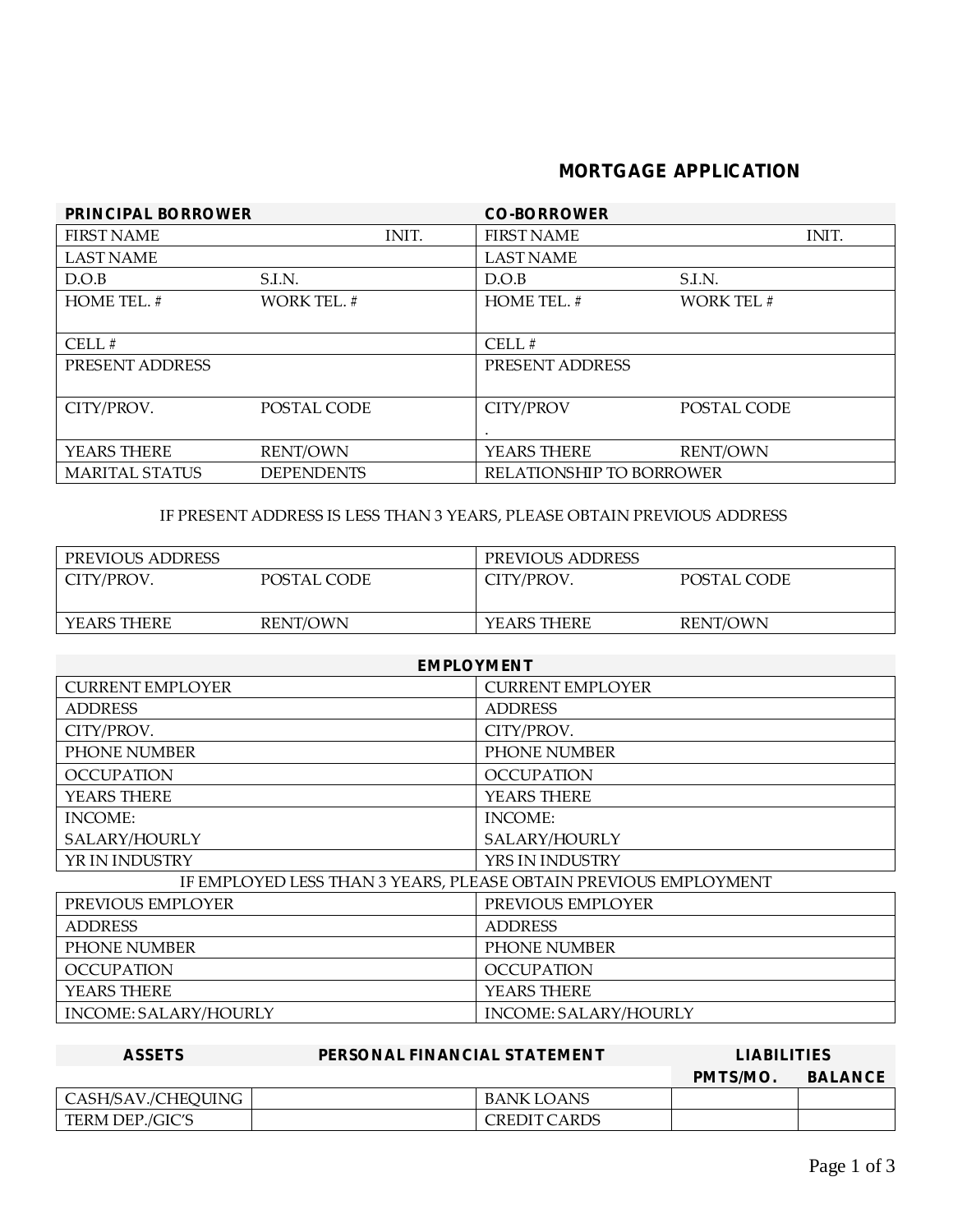## **MORTGAGE APPLICATION**

| PRINCIPAL BORROWER    |                    | CO-BORROWER              |                   |  |
|-----------------------|--------------------|--------------------------|-------------------|--|
| <b>FIRST NAME</b>     | INIT.              | <b>FIRST NAME</b>        | INIT.             |  |
| <b>LAST NAME</b>      |                    | <b>LAST NAME</b>         |                   |  |
| D.O.B                 | S.I.N.             | D.O.B                    | S.I.N.            |  |
| HOME TEL. #           | <b>WORK TEL. #</b> | HOME TEL. #              | <b>WORK TEL #</b> |  |
|                       |                    |                          |                   |  |
| CELL#                 |                    | CELL#                    |                   |  |
| PRESENT ADDRESS       |                    | PRESENT ADDRESS          |                   |  |
|                       |                    |                          |                   |  |
| CITY/PROV.            | POSTAL CODE        | <b>CITY/PROV</b>         | POSTAL CODE       |  |
|                       |                    |                          |                   |  |
| YEARS THERE           | <b>RENT/OWN</b>    | YEARS THERE              | <b>RENT/OWN</b>   |  |
| <b>MARITAL STATUS</b> | <b>DEPENDENTS</b>  | RELATIONSHIP TO BORROWER |                   |  |

IF PRESENT ADDRESS IS LESS THAN 3 YEARS, PLEASE OBTAIN PREVIOUS ADDRESS

| PREVIOUS ADDRESS |             | PREVIOUS ADDRESS |                 |
|------------------|-------------|------------------|-----------------|
| CITY/PROV.       | POSTAL CODE | CITY/PROV.       | POSTAL CODE     |
| YEARS THERE      | RENT/OWN    | YEARS THERE      | <b>RENT/OWN</b> |

| <b>EMPLOYMENT</b>                                                |                         |  |  |
|------------------------------------------------------------------|-------------------------|--|--|
| <b>CURRENT EMPLOYER</b>                                          | <b>CURRENT EMPLOYER</b> |  |  |
| <b>ADDRESS</b>                                                   | <b>ADDRESS</b>          |  |  |
| CITY/PROV.                                                       | CITY/PROV.              |  |  |
| PHONE NUMBER                                                     | PHONE NUMBER            |  |  |
| <b>OCCUPATION</b>                                                | <b>OCCUPATION</b>       |  |  |
| YEARS THERE                                                      | YEARS THERE             |  |  |
| INCOME:                                                          | INCOME:                 |  |  |
| SALARY/HOURLY                                                    | SALARY/HOURLY           |  |  |
| YR IN INDUSTRY                                                   | YRS IN INDUSTRY         |  |  |
| IF EMPLOYED LESS THAN 3 YEARS, PLEASE OBTAIN PREVIOUS EMPLOYMENT |                         |  |  |
| PREVIOUS EMPLOYER                                                | PREVIOUS EMPLOYER       |  |  |
| <b>ADDRESS</b>                                                   | <b>ADDRESS</b>          |  |  |
| <b>PHONE NUMBER</b>                                              | <b>PHONE NUMBER</b>     |  |  |
| <b>OCCUPATION</b>                                                | <b>OCCUPATION</b>       |  |  |
| YEARS THERE                                                      | YEARS THERE             |  |  |
| INCOME: SALARY/HOURLY                                            | INCOME: SALARY/HOURLY   |  |  |

| <b>ASSETS</b>      | PERSONAL FINANCIAL STATEMENT | <b>LIABILITIES</b> |         |
|--------------------|------------------------------|--------------------|---------|
|                    |                              | PMTS/MO.           | BALANCE |
| CASH/SAV./CHEQUING | BANK LOANS                   |                    |         |
| TERM DEP./GIC'S    | CREDIT CARDS                 |                    |         |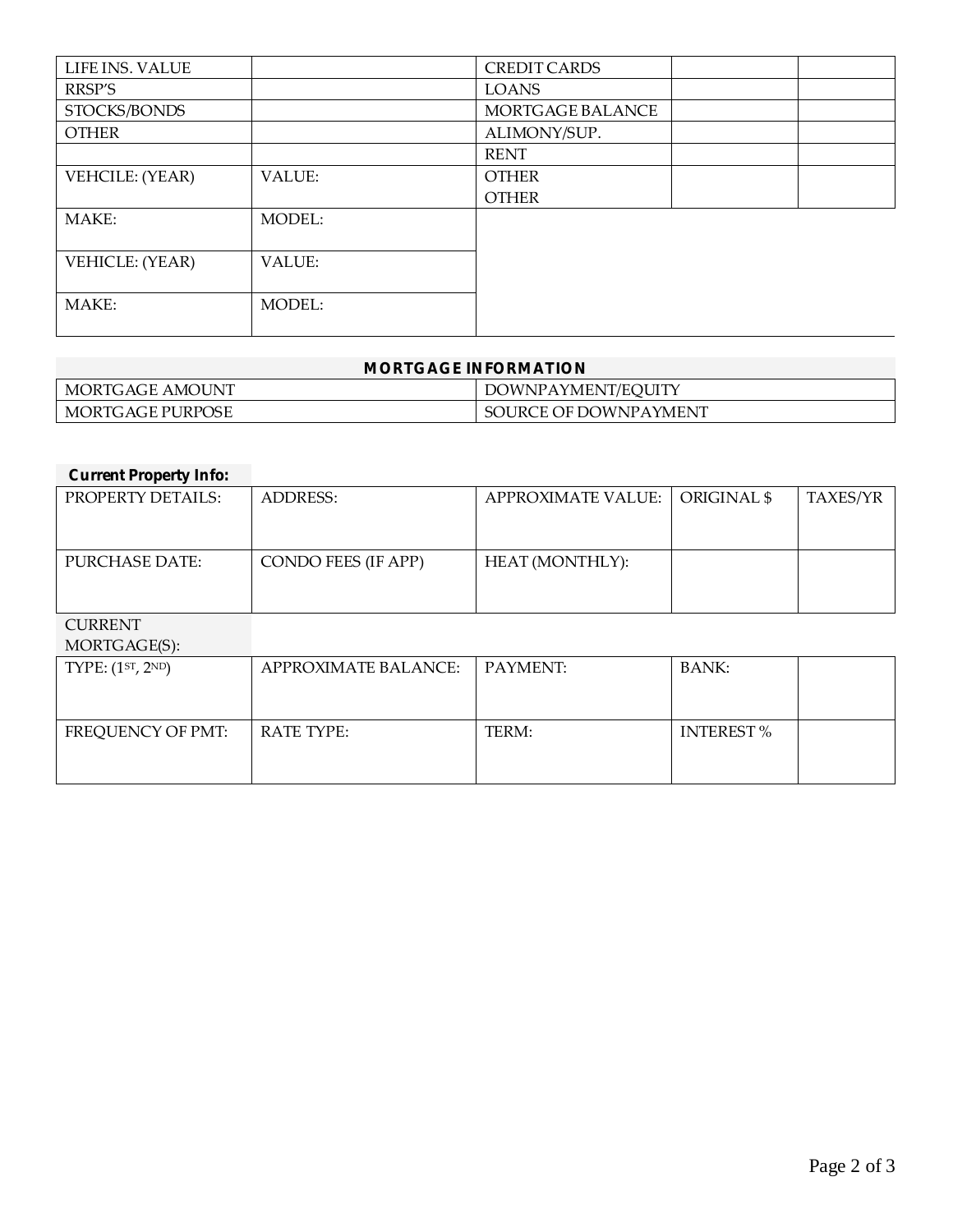| LIFE INS. VALUE |               | <b>CREDIT CARDS</b> |  |
|-----------------|---------------|---------------------|--|
| RRSP'S          |               | <b>LOANS</b>        |  |
| STOCKS/BONDS    |               | MORTGAGE BALANCE    |  |
| <b>OTHER</b>    |               | ALIMONY/SUP.        |  |
|                 |               | <b>RENT</b>         |  |
| VEHCILE: (YEAR) | VALUE:        | <b>OTHER</b>        |  |
|                 |               | <b>OTHER</b>        |  |
| MAKE:           | <b>MODEL:</b> |                     |  |
|                 |               |                     |  |
| VEHICLE: (YEAR) | VALUE:        |                     |  |
|                 |               |                     |  |
| MAKE:           | MODEL:        |                     |  |
|                 |               |                     |  |

| MORTGAGE INFORMATION                        |  |  |  |
|---------------------------------------------|--|--|--|
| DOWNPAYMENT/EQUITY<br>' MORTGAGE AMOUNT     |  |  |  |
| ' MORTGAGE PURPOSE<br>SOURCE OF DOWNPAYMENT |  |  |  |

| <b>Current Property Info:</b>              |                             |                           |                  |          |
|--------------------------------------------|-----------------------------|---------------------------|------------------|----------|
| PROPERTY DETAILS:                          | <b>ADDRESS:</b>             | <b>APPROXIMATE VALUE:</b> | ORIGINAL \$      | TAXES/YR |
|                                            |                             |                           |                  |          |
| <b>PURCHASE DATE:</b>                      | CONDO FEES (IF APP)         | HEAT (MONTHLY):           |                  |          |
|                                            |                             |                           |                  |          |
| <b>CURRENT</b>                             |                             |                           |                  |          |
| MORTGAGE(S):                               |                             |                           |                  |          |
| TYPE: (1 <sup>ST</sup> , 2 <sup>ND</sup> ) | <b>APPROXIMATE BALANCE:</b> | PAYMENT:                  | <b>BANK:</b>     |          |
|                                            |                             |                           |                  |          |
| FREQUENCY OF PMT:                          | <b>RATE TYPE:</b>           | TERM:                     | <b>INTEREST%</b> |          |
|                                            |                             |                           |                  |          |
|                                            |                             |                           |                  |          |